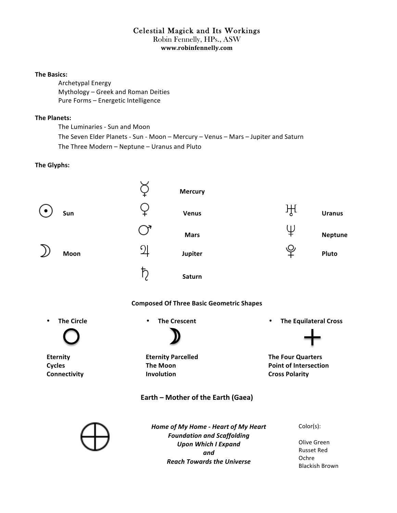# Celestial Magick and Its Workings Robin Fennelly, HPs., ASW

**www.robinfennelly.com**

#### **The Basics:**

Archetypal Energy Mythology - Greek and Roman Deities Pure Forms - Energetic Intelligence

#### **The Planets:**

The Luminaries - Sun and Moon The Seven Elder Planets - Sun - Moon - Mercury - Venus - Mars - Jupiter and Saturn The Three Modern - Neptune - Uranus and Pluto

#### **The Glyphs:**

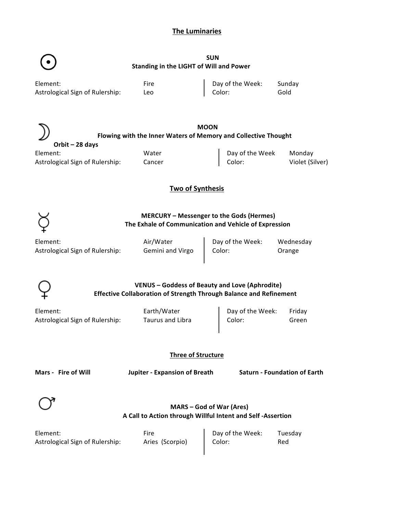# **The Luminaries**



**SUN Standing in the LIGHT of Will and Power** 

| Element:                        | Fire | Day of the Week:   | Sunday |
|---------------------------------|------|--------------------|--------|
| Astrological Sign of Rulership: | Leo  | $\parallel$ Color: | Gold   |
|                                 |      |                    |        |

|                                 | <b>MOON</b><br>Flowing with the Inner Waters of Memory and Collective Thought |                 |                 |
|---------------------------------|-------------------------------------------------------------------------------|-----------------|-----------------|
|                                 |                                                                               |                 |                 |
| Orbit – 28 days                 |                                                                               |                 |                 |
| Element:                        | Water                                                                         | Day of the Week | Monday          |
| Astrological Sign of Rulership: | Cancer                                                                        | Color:          | Violet (Silver) |

**Two of Synthesis** 



# **MERCURY – Messenger to the Gods (Hermes) The Exhale of Communication and Vehicle of Expression**

Element: Air/Water Day of the Week: Wednesday Astrological Sign of Rulership: Gemini and Virgo | Color: Crange

## **VENUS – Goddess of Beauty and Love (Aphrodite) Effective Collaboration of Strength Through Balance and Refinement**

Element: Element: Earth/Water Astrological Sign of Rulership: Taurus and Libra

| Day of the Week: | Friday |
|------------------|--------|
| Color:           | Green  |

**Three of Structure**

**Mars - Fire of Will Jupiter - Expansion of Breath Saturn - Foundation of Earth**



### **MARS – God of War (Ares) A Call to Action through Willful Intent and Self -Assertion**

| Element:                        | Fire            | $\parallel$ Day of the Week: | Tuesday |
|---------------------------------|-----------------|------------------------------|---------|
| Astrological Sign of Rulership: | Aries (Scorpio) | Color:                       | Red     |
|                                 |                 |                              |         |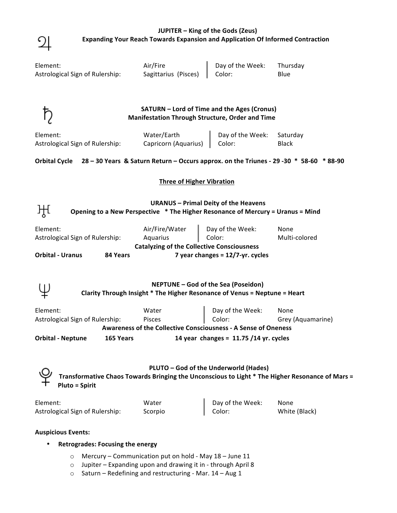| JUPITER – King of the Gods (Zeus)                                                     |
|---------------------------------------------------------------------------------------|
| <b>Expanding Your Reach Towards Expansion and Application Of Informed Contraction</b> |

| Element:<br>Astrological Sign of Rulership:                                                           | Air/Fire<br>Sagittarius (Pisces)                                                                                              | Day of the Week:<br>Color:                        | Thursday<br>Blue                                                                                |
|-------------------------------------------------------------------------------------------------------|-------------------------------------------------------------------------------------------------------------------------------|---------------------------------------------------|-------------------------------------------------------------------------------------------------|
|                                                                                                       | SATURN - Lord of Time and the Ages (Cronus)<br>Manifestation Through Structure, Order and Time                                |                                                   |                                                                                                 |
| Element:<br>Astrological Sign of Rulership:                                                           | Water/Earth<br>Capricorn (Aquarius)                                                                                           | Day of the Week:<br>Color:                        | Saturday<br><b>Black</b>                                                                        |
| Orbital Cycle 28 - 30 Years & Saturn Return - Occurs approx. on the Triunes - 29 - 30 * 58-60 * 88-90 |                                                                                                                               |                                                   |                                                                                                 |
|                                                                                                       | <b>Three of Higher Vibration</b>                                                                                              |                                                   |                                                                                                 |
|                                                                                                       | <b>URANUS - Primal Deity of the Heavens</b><br>Opening to a New Perspective * The Higher Resonance of Mercury = Uranus = Mind |                                                   |                                                                                                 |
| Element:<br>Astrological Sign of Rulership:                                                           | Air/Fire/Water<br>Aquarius<br><b>Catalyzing of the Collective Consciousness</b>                                               | Day of the Week:<br>Color:                        | None<br>Multi-colored                                                                           |
| <b>Orbital - Uranus</b><br>84 Years                                                                   |                                                                                                                               | 7 year changes = $12/7$ -yr. cycles               |                                                                                                 |
|                                                                                                       | <b>NEPTUNE - God of the Sea (Poseidon)</b><br>Clarity Through Insight * The Higher Resonance of Venus = Neptune = Heart       |                                                   |                                                                                                 |
| Element:<br>Astrological Sign of Rulership:                                                           | Water<br>Pisces<br><b>Awareness of the Collective Consciousness - A Sense of Oneness</b>                                      | Day of the Week: None<br>Color: Grey (Aquamarine) |                                                                                                 |
| <b>Orbital - Neptune</b><br>165 Years<br>14 year changes = $11.75/14$ yr. cycles                      |                                                                                                                               |                                                   |                                                                                                 |
| <b>Pluto = Spirit</b>                                                                                 |                                                                                                                               | PLUTO - God of the Underworld (Hades)             | Transformative Chaos Towards Bringing the Unconscious to Light * The Higher Resonance of Mars = |
| Element:<br>Astrological Sign of Rulership:                                                           | Water<br>Scorpio                                                                                                              | Day of the Week:<br>Color:                        | None<br>White (Black)                                                                           |
| <b>Auspicious Events:</b>                                                                             |                                                                                                                               |                                                   |                                                                                                 |

# • **Retrogrades: Focusing the energy**

 $\overline{2}$ 

- $\circ$  Mercury Communication put on hold May 18 June 11
- $\circ$  Jupiter Expanding upon and drawing it in through April 8
- $\circ$  Saturn Redefining and restructuring Mar. 14 Aug 1